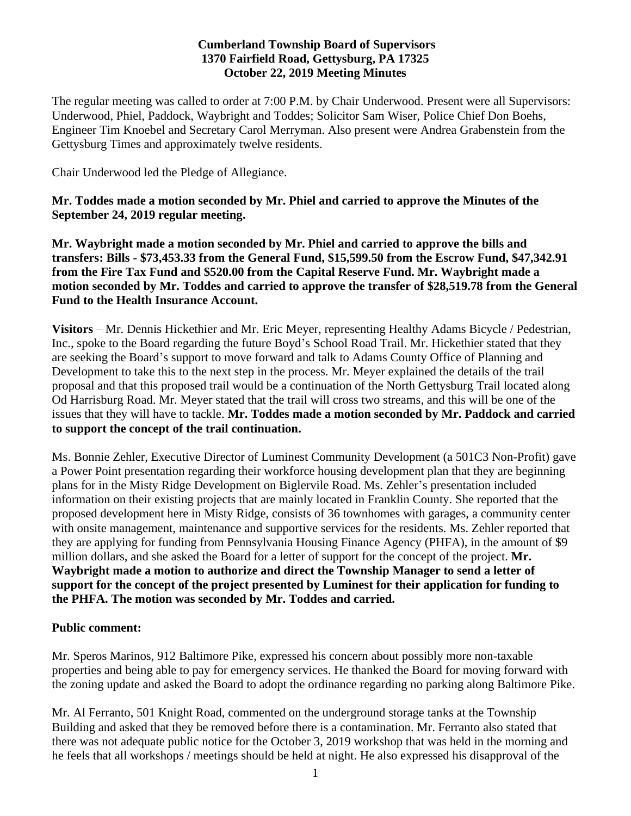#### **Cumberland Township Board of Supervisors 1370 Fairfield Road, Gettysburg, PA 17325 October 22, 2019 Meeting Minutes**

The regular meeting was called to order at 7:00 P.M. by Chair Underwood. Present were all Supervisors: Underwood, Phiel, Paddock, Waybright and Toddes; Solicitor Sam Wiser, Police Chief Don Boehs, Engineer Tim Knoebel and Secretary Carol Merryman. Also present were Andrea Grabenstein from the Gettysburg Times and approximately twelve residents.

Chair Underwood led the Pledge of Allegiance.

### **Mr. Toddes made a motion seconded by Mr. Phiel and carried to approve the Minutes of the September 24, 2019 regular meeting.**

**Mr. Waybright made a motion seconded by Mr. Phiel and carried to approve the bills and transfers: Bills - \$73,453.33 from the General Fund, \$15,599.50 from the Escrow Fund, \$47,342.91 from the Fire Tax Fund and \$520.00 from the Capital Reserve Fund. Mr. Waybright made a motion seconded by Mr. Toddes and carried to approve the transfer of \$28,519.78 from the General Fund to the Health Insurance Account.**

**Visitors** – Mr. Dennis Hickethier and Mr. Eric Meyer, representing Healthy Adams Bicycle / Pedestrian, Inc., spoke to the Board regarding the future Boyd's School Road Trail. Mr. Hickethier stated that they are seeking the Board's support to move forward and talk to Adams County Office of Planning and Development to take this to the next step in the process. Mr. Meyer explained the details of the trail proposal and that this proposed trail would be a continuation of the North Gettysburg Trail located along Od Harrisburg Road. Mr. Meyer stated that the trail will cross two streams, and this will be one of the issues that they will have to tackle. **Mr. Toddes made a motion seconded by Mr. Paddock and carried to support the concept of the trail continuation.** 

Ms. Bonnie Zehler, Executive Director of Luminest Community Development (a 501C3 Non-Profit) gave a Power Point presentation regarding their workforce housing development plan that they are beginning plans for in the Misty Ridge Development on Biglervile Road. Ms. Zehler's presentation included information on their existing projects that are mainly located in Franklin County. She reported that the proposed development here in Misty Ridge, consists of 36 townhomes with garages, a community center with onsite management, maintenance and supportive services for the residents. Ms. Zehler reported that they are applying for funding from Pennsylvania Housing Finance Agency (PHFA), in the amount of \$9 million dollars, and she asked the Board for a letter of support for the concept of the project. **Mr. Waybright made a motion to authorize and direct the Township Manager to send a letter of support for the concept of the project presented by Luminest for their application for funding to the PHFA. The motion was seconded by Mr. Toddes and carried.**

### **Public comment:**

Mr. Speros Marinos, 912 Baltimore Pike, expressed his concern about possibly more non-taxable properties and being able to pay for emergency services. He thanked the Board for moving forward with the zoning update and asked the Board to adopt the ordinance regarding no parking along Baltimore Pike.

Mr. Al Ferranto, 501 Knight Road, commented on the underground storage tanks at the Township Building and asked that they be removed before there is a contamination. Mr. Ferranto also stated that there was not adequate public notice for the October 3, 2019 workshop that was held in the morning and he feels that all workshops / meetings should be held at night. He also expressed his disapproval of the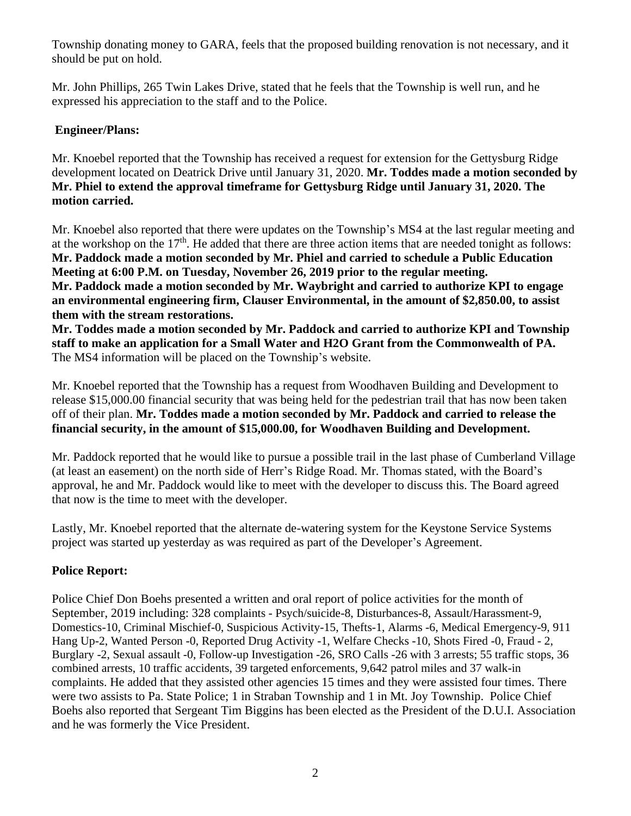Township donating money to GARA, feels that the proposed building renovation is not necessary, and it should be put on hold.

Mr. John Phillips, 265 Twin Lakes Drive, stated that he feels that the Township is well run, and he expressed his appreciation to the staff and to the Police.

## **Engineer/Plans:**

Mr. Knoebel reported that the Township has received a request for extension for the Gettysburg Ridge development located on Deatrick Drive until January 31, 2020. **Mr. Toddes made a motion seconded by Mr. Phiel to extend the approval timeframe for Gettysburg Ridge until January 31, 2020. The motion carried.** 

Mr. Knoebel also reported that there were updates on the Township's MS4 at the last regular meeting and at the workshop on the 17<sup>th</sup>. He added that there are three action items that are needed tonight as follows: **Mr. Paddock made a motion seconded by Mr. Phiel and carried to schedule a Public Education Meeting at 6:00 P.M. on Tuesday, November 26, 2019 prior to the regular meeting. Mr. Paddock made a motion seconded by Mr. Waybright and carried to authorize KPI to engage an environmental engineering firm, Clauser Environmental, in the amount of \$2,850.00, to assist them with the stream restorations.**

**Mr. Toddes made a motion seconded by Mr. Paddock and carried to authorize KPI and Township staff to make an application for a Small Water and H2O Grant from the Commonwealth of PA.** The MS4 information will be placed on the Township's website.

Mr. Knoebel reported that the Township has a request from Woodhaven Building and Development to release \$15,000.00 financial security that was being held for the pedestrian trail that has now been taken off of their plan. **Mr. Toddes made a motion seconded by Mr. Paddock and carried to release the financial security, in the amount of \$15,000.00, for Woodhaven Building and Development.**

Mr. Paddock reported that he would like to pursue a possible trail in the last phase of Cumberland Village (at least an easement) on the north side of Herr's Ridge Road. Mr. Thomas stated, with the Board's approval, he and Mr. Paddock would like to meet with the developer to discuss this. The Board agreed that now is the time to meet with the developer.

Lastly, Mr. Knoebel reported that the alternate de-watering system for the Keystone Service Systems project was started up yesterday as was required as part of the Developer's Agreement.

# **Police Report:**

Police Chief Don Boehs presented a written and oral report of police activities for the month of September, 2019 including: 328 complaints - Psych/suicide-8, Disturbances-8, Assault/Harassment-9, Domestics-10, Criminal Mischief-0, Suspicious Activity-15, Thefts-1, Alarms -6, Medical Emergency-9, 911 Hang Up-2, Wanted Person -0, Reported Drug Activity -1, Welfare Checks -10, Shots Fired -0, Fraud - 2, Burglary -2, Sexual assault -0, Follow-up Investigation -26, SRO Calls -26 with 3 arrests; 55 traffic stops, 36 combined arrests, 10 traffic accidents, 39 targeted enforcements, 9,642 patrol miles and 37 walk-in complaints. He added that they assisted other agencies 15 times and they were assisted four times. There were two assists to Pa. State Police; 1 in Straban Township and 1 in Mt. Joy Township. Police Chief Boehs also reported that Sergeant Tim Biggins has been elected as the President of the D.U.I. Association and he was formerly the Vice President.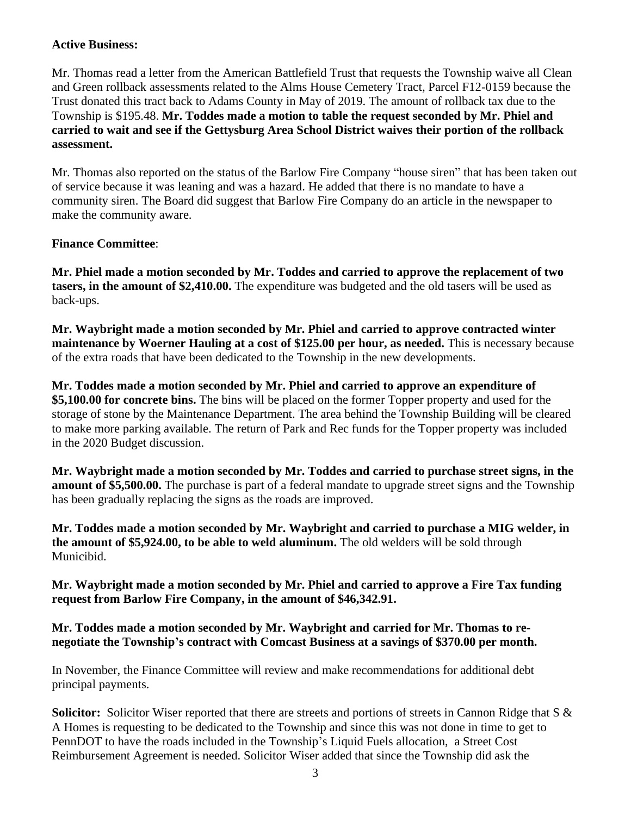### **Active Business:**

Mr. Thomas read a letter from the American Battlefield Trust that requests the Township waive all Clean and Green rollback assessments related to the Alms House Cemetery Tract, Parcel F12-0159 because the Trust donated this tract back to Adams County in May of 2019. The amount of rollback tax due to the Township is \$195.48. **Mr. Toddes made a motion to table the request seconded by Mr. Phiel and carried to wait and see if the Gettysburg Area School District waives their portion of the rollback assessment.**

Mr. Thomas also reported on the status of the Barlow Fire Company "house siren" that has been taken out of service because it was leaning and was a hazard. He added that there is no mandate to have a community siren. The Board did suggest that Barlow Fire Company do an article in the newspaper to make the community aware.

# **Finance Committee**:

**Mr. Phiel made a motion seconded by Mr. Toddes and carried to approve the replacement of two tasers, in the amount of \$2,410.00.** The expenditure was budgeted and the old tasers will be used as back-ups.

**Mr. Waybright made a motion seconded by Mr. Phiel and carried to approve contracted winter maintenance by Woerner Hauling at a cost of \$125.00 per hour, as needed.** This is necessary because of the extra roads that have been dedicated to the Township in the new developments.

**Mr. Toddes made a motion seconded by Mr. Phiel and carried to approve an expenditure of \$5,100.00 for concrete bins.** The bins will be placed on the former Topper property and used for the storage of stone by the Maintenance Department. The area behind the Township Building will be cleared to make more parking available. The return of Park and Rec funds for the Topper property was included in the 2020 Budget discussion.

**Mr. Waybright made a motion seconded by Mr. Toddes and carried to purchase street signs, in the amount of \$5,500.00.** The purchase is part of a federal mandate to upgrade street signs and the Township has been gradually replacing the signs as the roads are improved.

**Mr. Toddes made a motion seconded by Mr. Waybright and carried to purchase a MIG welder, in the amount of \$5,924.00, to be able to weld aluminum.** The old welders will be sold through Municibid.

**Mr. Waybright made a motion seconded by Mr. Phiel and carried to approve a Fire Tax funding request from Barlow Fire Company, in the amount of \$46,342.91.**

### **Mr. Toddes made a motion seconded by Mr. Waybright and carried for Mr. Thomas to renegotiate the Township's contract with Comcast Business at a savings of \$370.00 per month.**

In November, the Finance Committee will review and make recommendations for additional debt principal payments.

**Solicitor:** Solicitor Wiser reported that there are streets and portions of streets in Cannon Ridge that S & A Homes is requesting to be dedicated to the Township and since this was not done in time to get to PennDOT to have the roads included in the Township's Liquid Fuels allocation, a Street Cost Reimbursement Agreement is needed. Solicitor Wiser added that since the Township did ask the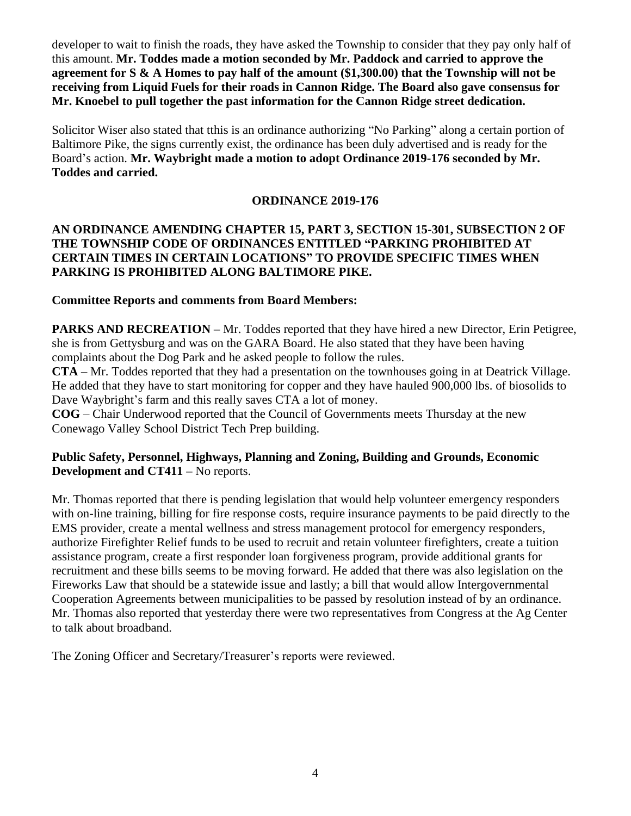developer to wait to finish the roads, they have asked the Township to consider that they pay only half of this amount. **Mr. Toddes made a motion seconded by Mr. Paddock and carried to approve the agreement for S & A Homes to pay half of the amount (\$1,300.00) that the Township will not be receiving from Liquid Fuels for their roads in Cannon Ridge. The Board also gave consensus for Mr. Knoebel to pull together the past information for the Cannon Ridge street dedication.** 

Solicitor Wiser also stated that tthis is an ordinance authorizing "No Parking" along a certain portion of Baltimore Pike, the signs currently exist, the ordinance has been duly advertised and is ready for the Board's action. **Mr. Waybright made a motion to adopt Ordinance 2019-176 seconded by Mr. Toddes and carried.**

### **ORDINANCE 2019-176**

### **AN ORDINANCE AMENDING CHAPTER 15, PART 3, SECTION 15-301, SUBSECTION 2 OF THE TOWNSHIP CODE OF ORDINANCES ENTITLED "PARKING PROHIBITED AT CERTAIN TIMES IN CERTAIN LOCATIONS" TO PROVIDE SPECIFIC TIMES WHEN PARKING IS PROHIBITED ALONG BALTIMORE PIKE.**

### **Committee Reports and comments from Board Members:**

**PARKS AND RECREATION –** Mr. Toddes reported that they have hired a new Director, Erin Petigree, she is from Gettysburg and was on the GARA Board. He also stated that they have been having complaints about the Dog Park and he asked people to follow the rules.

**CTA** – Mr. Toddes reported that they had a presentation on the townhouses going in at Deatrick Village. He added that they have to start monitoring for copper and they have hauled 900,000 lbs. of biosolids to Dave Waybright's farm and this really saves CTA a lot of money.

**COG** – Chair Underwood reported that the Council of Governments meets Thursday at the new Conewago Valley School District Tech Prep building.

#### **Public Safety, Personnel, Highways, Planning and Zoning, Building and Grounds, Economic Development and CT411 –** No reports.

Mr. Thomas reported that there is pending legislation that would help volunteer emergency responders with on-line training, billing for fire response costs, require insurance payments to be paid directly to the EMS provider, create a mental wellness and stress management protocol for emergency responders, authorize Firefighter Relief funds to be used to recruit and retain volunteer firefighters, create a tuition assistance program, create a first responder loan forgiveness program, provide additional grants for recruitment and these bills seems to be moving forward. He added that there was also legislation on the Fireworks Law that should be a statewide issue and lastly; a bill that would allow Intergovernmental Cooperation Agreements between municipalities to be passed by resolution instead of by an ordinance. Mr. Thomas also reported that yesterday there were two representatives from Congress at the Ag Center to talk about broadband.

The Zoning Officer and Secretary/Treasurer's reports were reviewed.